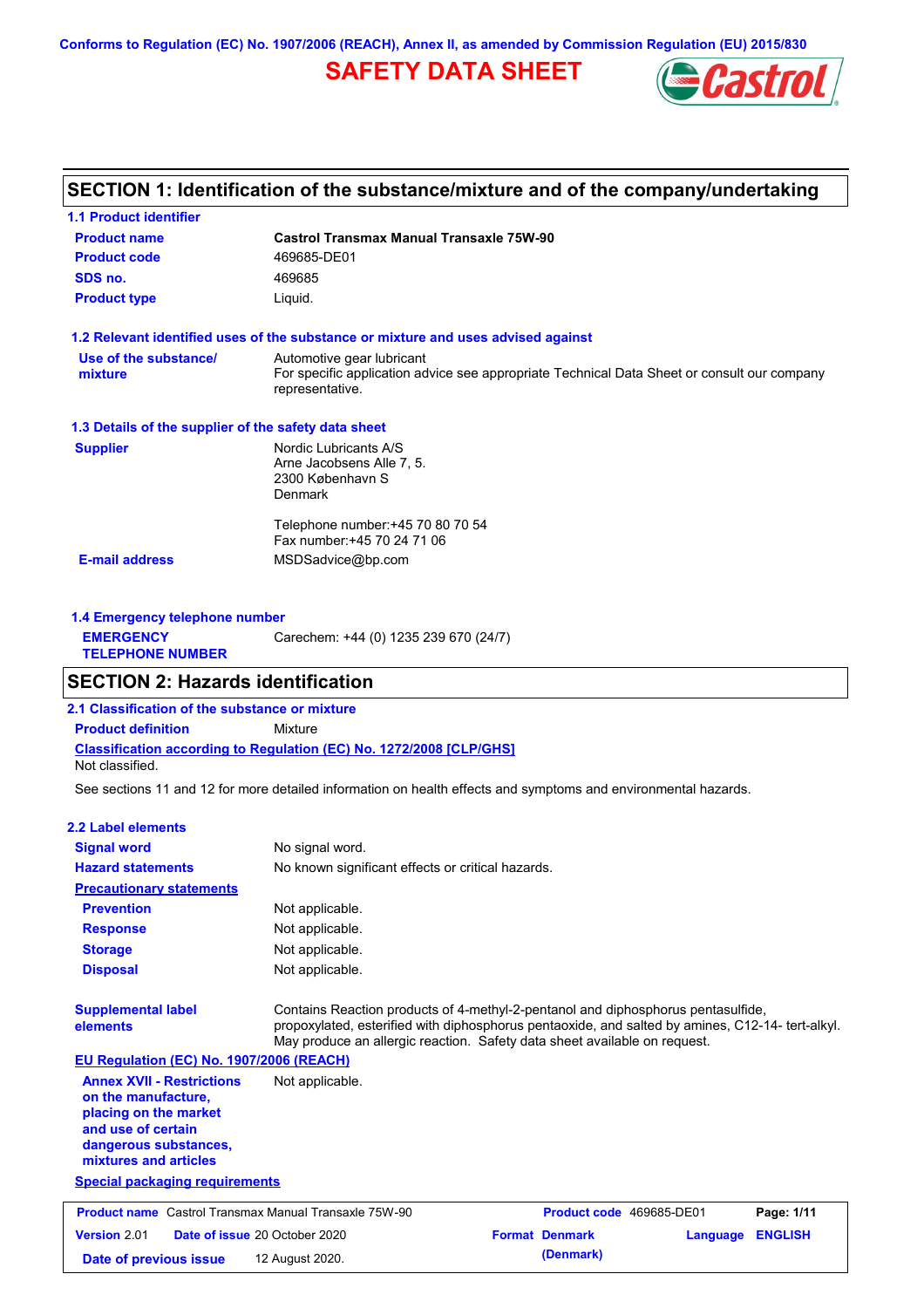**Conforms to Regulation (EC) No. 1907/2006 (REACH), Annex II, as amended by Commission Regulation (EU) 2015/830**

## **SAFETY DATA SHEET**



### **SECTION 1: Identification of the substance/mixture and of the company/undertaking**

| <b>Product name</b>                                  | <b>Castrol Transmax Manual Transaxle 75W-90</b>                                                                                             |
|------------------------------------------------------|---------------------------------------------------------------------------------------------------------------------------------------------|
| <b>Product code</b>                                  | 469685-DE01                                                                                                                                 |
| SDS no.                                              | 469685                                                                                                                                      |
| <b>Product type</b>                                  | Liquid.                                                                                                                                     |
|                                                      | 1.2 Relevant identified uses of the substance or mixture and uses advised against                                                           |
| Use of the substance/<br>mixture                     | Automotive gear lubricant<br>For specific application advice see appropriate Technical Data Sheet or consult our company<br>representative. |
| 1.3 Details of the supplier of the safety data sheet |                                                                                                                                             |
| <b>Supplier</b>                                      | Nordic Lubricants A/S<br>Arne Jacobsens Alle 7, 5.<br>2300 København S<br><b>Denmark</b>                                                    |
|                                                      | Telephone number: +45 70 80 70 54<br>Fax number: +45 70 24 71 06                                                                            |
|                                                      | MSDSadvice@bp.com                                                                                                                           |

| <b>1.4 Emergency telephone number</b>       |                                       |
|---------------------------------------------|---------------------------------------|
| <b>EMERGENCY</b><br><b>TELEPHONE NUMBER</b> | Carechem: +44 (0) 1235 239 670 (24/7) |

### **SECTION 2: Hazards identification**

**2.1 Classification of the substance or mixture**

**Classification according to Regulation (EC) No. 1272/2008 [CLP/GHS] Product definition** Mixture

Not classified.

See sections 11 and 12 for more detailed information on health effects and symptoms and environmental hazards.

#### **2.2 Label elements**

| <b>Signal word</b>                                                                                                                                       | No signal word.                                                                                                                                                                                                                                                  |                          |          |                |
|----------------------------------------------------------------------------------------------------------------------------------------------------------|------------------------------------------------------------------------------------------------------------------------------------------------------------------------------------------------------------------------------------------------------------------|--------------------------|----------|----------------|
| <b>Hazard statements</b>                                                                                                                                 | No known significant effects or critical hazards.                                                                                                                                                                                                                |                          |          |                |
| <b>Precautionary statements</b>                                                                                                                          |                                                                                                                                                                                                                                                                  |                          |          |                |
| <b>Prevention</b>                                                                                                                                        | Not applicable.                                                                                                                                                                                                                                                  |                          |          |                |
| <b>Response</b>                                                                                                                                          | Not applicable.                                                                                                                                                                                                                                                  |                          |          |                |
| <b>Storage</b>                                                                                                                                           | Not applicable.                                                                                                                                                                                                                                                  |                          |          |                |
| <b>Disposal</b>                                                                                                                                          | Not applicable.                                                                                                                                                                                                                                                  |                          |          |                |
| <b>Supplemental label</b><br>elements                                                                                                                    | Contains Reaction products of 4-methyl-2-pentanol and diphosphorus pentasulfide,<br>propoxylated, esterified with diphosphorus pentaoxide, and salted by amines, C12-14-tert-alkyl.<br>May produce an allergic reaction. Safety data sheet available on request. |                          |          |                |
| EU Regulation (EC) No. 1907/2006 (REACH)                                                                                                                 |                                                                                                                                                                                                                                                                  |                          |          |                |
| <b>Annex XVII - Restrictions</b><br>on the manufacture.<br>placing on the market<br>and use of certain<br>dangerous substances,<br>mixtures and articles | Not applicable.                                                                                                                                                                                                                                                  |                          |          |                |
| <b>Special packaging requirements</b>                                                                                                                    |                                                                                                                                                                                                                                                                  |                          |          |                |
| <b>Product name</b> Castrol Transmax Manual Transaxle 75W-90                                                                                             |                                                                                                                                                                                                                                                                  | Product code 469685-DE01 |          | Page: 1/11     |
| Version 2.01                                                                                                                                             | Date of issue 20 October 2020                                                                                                                                                                                                                                    | <b>Format Denmark</b>    | Language | <b>ENGLISH</b> |
| Date of previous issue                                                                                                                                   | 12 August 2020.                                                                                                                                                                                                                                                  | (Denmark)                |          |                |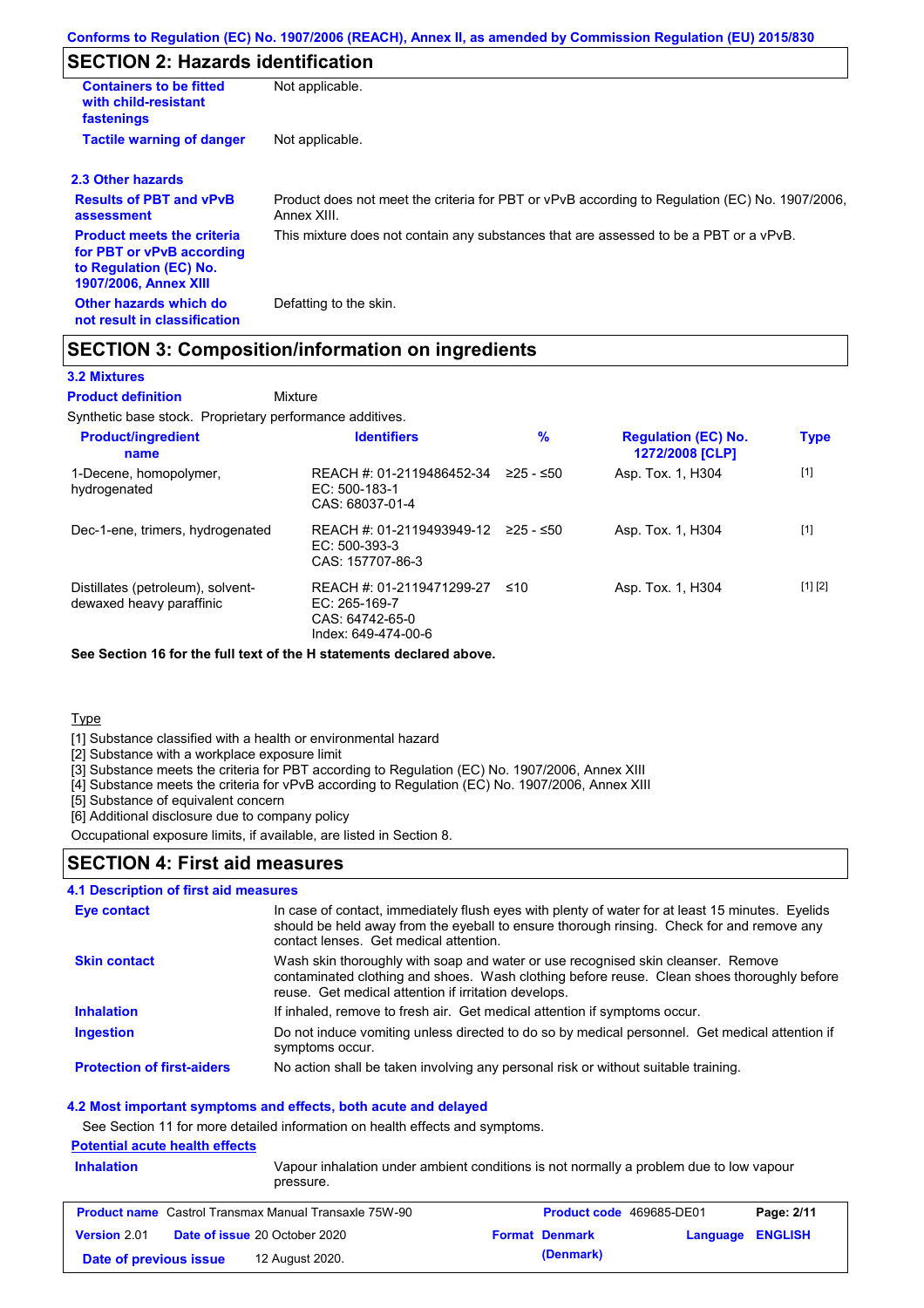### **SECTION 2: Hazards identification**

| <b>Containers to be fitted</b><br>with child-resistant<br>fastenings                                                     | Not applicable.                                                                                               |
|--------------------------------------------------------------------------------------------------------------------------|---------------------------------------------------------------------------------------------------------------|
| <b>Tactile warning of danger</b>                                                                                         | Not applicable.                                                                                               |
| 2.3 Other hazards                                                                                                        |                                                                                                               |
| <b>Results of PBT and vPvB</b><br>assessment                                                                             | Product does not meet the criteria for PBT or vPvB according to Regulation (EC) No. 1907/2006,<br>Annex XIII. |
| <b>Product meets the criteria</b><br>for PBT or vPvB according<br>to Regulation (EC) No.<br><b>1907/2006, Annex XIII</b> | This mixture does not contain any substances that are assessed to be a PBT or a vPvB.                         |
| Other hazards which do<br>not result in classification                                                                   | Defatting to the skin.                                                                                        |

### **SECTION 3: Composition/information on ingredients**

### **3.2 Mixtures**

Mixture **Product definition**

Synthetic base stock. Proprietary performance additives.

| <b>Product/ingredient</b><br>name                             | <b>Identifiers</b>                                                                     | %           | <b>Regulation (EC) No.</b><br>1272/2008 [CLP] | <b>Type</b> |
|---------------------------------------------------------------|----------------------------------------------------------------------------------------|-------------|-----------------------------------------------|-------------|
| 1-Decene, homopolymer,<br>hydrogenated                        | REACH #: 01-2119486452-34<br>$EC: 500-183-1$<br>CAS: 68037-01-4                        | $≥25 - ≤50$ | Asp. Tox. 1, H304                             | $[1]$       |
| Dec-1-ene, trimers, hydrogenated                              | REACH #: 01-2119493949-12<br>EC: 500-393-3<br>CAS: 157707-86-3                         | 225 - ≤50   | Asp. Tox. 1, H304                             | $[1]$       |
| Distillates (petroleum), solvent-<br>dewaxed heavy paraffinic | REACH #: 01-2119471299-27<br>$EC: 265-169-7$<br>CAS: 64742-65-0<br>Index: 649-474-00-6 | ≤10         | Asp. Tox. 1, H304                             | [1] [2]     |

**See Section 16 for the full text of the H statements declared above.**

**Type** 

[1] Substance classified with a health or environmental hazard

[2] Substance with a workplace exposure limit

[3] Substance meets the criteria for PBT according to Regulation (EC) No. 1907/2006, Annex XIII

[4] Substance meets the criteria for vPvB according to Regulation (EC) No. 1907/2006, Annex XIII

[5] Substance of equivalent concern

[6] Additional disclosure due to company policy

Occupational exposure limits, if available, are listed in Section 8.

### **SECTION 4: First aid measures**

#### **4.1 Description of first aid measures**

| Eye contact                       | In case of contact, immediately flush eyes with plenty of water for at least 15 minutes. Eyelids<br>should be held away from the eyeball to ensure thorough rinsing. Check for and remove any<br>contact lenses. Get medical attention. |
|-----------------------------------|-----------------------------------------------------------------------------------------------------------------------------------------------------------------------------------------------------------------------------------------|
| <b>Skin contact</b>               | Wash skin thoroughly with soap and water or use recognised skin cleanser. Remove<br>contaminated clothing and shoes. Wash clothing before reuse. Clean shoes thoroughly before<br>reuse. Get medical attention if irritation develops.  |
| <b>Inhalation</b>                 | If inhaled, remove to fresh air. Get medical attention if symptoms occur.                                                                                                                                                               |
| <b>Ingestion</b>                  | Do not induce vomiting unless directed to do so by medical personnel. Get medical attention if<br>symptoms occur.                                                                                                                       |
| <b>Protection of first-aiders</b> | No action shall be taken involving any personal risk or without suitable training.                                                                                                                                                      |

#### **4.2 Most important symptoms and effects, both acute and delayed**

See Section 11 for more detailed information on health effects and symptoms.

### **Potential acute health effects**

| <b>Inhalation</b>      | <u>. Utuntua abatu nuarin unuutu</u><br>Vapour inhalation under ambient conditions is not normally a problem due to low vapour<br>pressure. |                                 |                         |            |
|------------------------|---------------------------------------------------------------------------------------------------------------------------------------------|---------------------------------|-------------------------|------------|
|                        | <b>Product name</b> Castrol Transmax Manual Transaxle 75W-90                                                                                | <b>Product code</b> 469685-DE01 |                         | Page: 2/11 |
| Version 2.01           | <b>Date of issue 20 October 2020</b>                                                                                                        | <b>Format Denmark</b>           | <b>Language ENGLISH</b> |            |
| Date of previous issue | 12 August 2020.                                                                                                                             | (Denmark)                       |                         |            |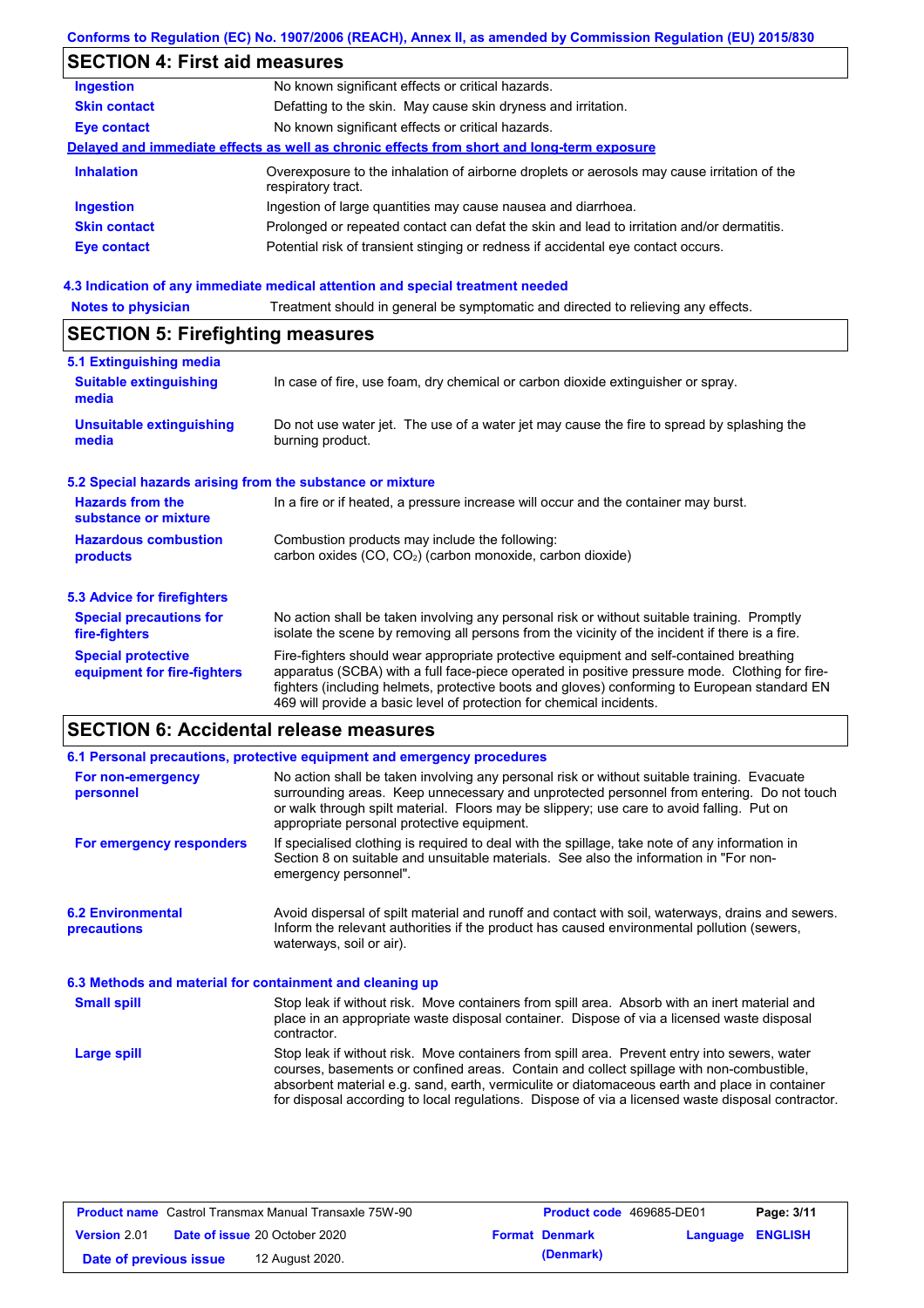### **Conforms to Regulation (EC) No. 1907/2006 (REACH), Annex II, as amended by Commission Regulation (EU) 2015/830**

# **SECTION 4: First aid measures**

| <b>Ingestion</b>    | No known significant effects or critical hazards.                                                                 |
|---------------------|-------------------------------------------------------------------------------------------------------------------|
| <b>Skin contact</b> | Defatting to the skin. May cause skin dryness and irritation.                                                     |
| <b>Eye contact</b>  | No known significant effects or critical hazards.                                                                 |
|                     | Delayed and immediate effects as well as chronic effects from short and long-term exposure                        |
| <b>Inhalation</b>   | Overexposure to the inhalation of airborne droplets or aerosols may cause irritation of the<br>respiratory tract. |
| <b>Ingestion</b>    | Ingestion of large quantities may cause nausea and diarrhoea.                                                     |
| <b>Skin contact</b> | Prolonged or repeated contact can defat the skin and lead to irritation and/or dermatitis.                        |
| <b>Eye contact</b>  | Potential risk of transient stinging or redness if accidental eye contact occurs.                                 |
|                     |                                                                                                                   |

# **4.3 Indication of any immediate medical attention and special treatment needed<br>Notes to physician** Treatment should in general be symptomatic and directed to relieving

| <b>Notes to physician</b>                                                                                                                                           | Treatment should in general be symptomatic and directed to relieving any effects.                                                                                                                                                                                                                                                                                 |  |  |  |
|---------------------------------------------------------------------------------------------------------------------------------------------------------------------|-------------------------------------------------------------------------------------------------------------------------------------------------------------------------------------------------------------------------------------------------------------------------------------------------------------------------------------------------------------------|--|--|--|
| <b>SECTION 5: Firefighting measures</b>                                                                                                                             |                                                                                                                                                                                                                                                                                                                                                                   |  |  |  |
| 5.1 Extinguishing media                                                                                                                                             |                                                                                                                                                                                                                                                                                                                                                                   |  |  |  |
| <b>Suitable extinguishing</b><br>media                                                                                                                              | In case of fire, use foam, dry chemical or carbon dioxide extinguisher or spray.                                                                                                                                                                                                                                                                                  |  |  |  |
| <b>Unsuitable extinguishing</b><br>media                                                                                                                            | Do not use water jet. The use of a water jet may cause the fire to spread by splashing the<br>burning product.                                                                                                                                                                                                                                                    |  |  |  |
| 5.2 Special hazards arising from the substance or mixture                                                                                                           |                                                                                                                                                                                                                                                                                                                                                                   |  |  |  |
| <b>Hazards from the</b><br>In a fire or if heated, a pressure increase will occur and the container may burst.<br>substance or mixture                              |                                                                                                                                                                                                                                                                                                                                                                   |  |  |  |
| <b>Hazardous combustion</b><br>Combustion products may include the following:<br>carbon oxides (CO, CO <sub>2</sub> ) (carbon monoxide, carbon dioxide)<br>products |                                                                                                                                                                                                                                                                                                                                                                   |  |  |  |
| 5.3 Advice for firefighters                                                                                                                                         |                                                                                                                                                                                                                                                                                                                                                                   |  |  |  |
| <b>Special precautions for</b><br>fire-fighters                                                                                                                     | No action shall be taken involving any personal risk or without suitable training. Promptly<br>isolate the scene by removing all persons from the vicinity of the incident if there is a fire.                                                                                                                                                                    |  |  |  |
| <b>Special protective</b><br>equipment for fire-fighters                                                                                                            | Fire-fighters should wear appropriate protective equipment and self-contained breathing<br>apparatus (SCBA) with a full face-piece operated in positive pressure mode. Clothing for fire-<br>fighters (including helmets, protective boots and gloves) conforming to European standard EN<br>469 will provide a basic level of protection for chemical incidents. |  |  |  |

## **SECTION 6: Accidental release measures**

|                                                          | 6.1 Personal precautions, protective equipment and emergency procedures                                                                                                                                                                                                                                                                                                                        |  |  |  |
|----------------------------------------------------------|------------------------------------------------------------------------------------------------------------------------------------------------------------------------------------------------------------------------------------------------------------------------------------------------------------------------------------------------------------------------------------------------|--|--|--|
| For non-emergency<br>personnel                           | No action shall be taken involving any personal risk or without suitable training. Evacuate<br>surrounding areas. Keep unnecessary and unprotected personnel from entering. Do not touch<br>or walk through spilt material. Floors may be slippery; use care to avoid falling. Put on<br>appropriate personal protective equipment.                                                            |  |  |  |
| For emergency responders                                 | If specialised clothing is required to deal with the spillage, take note of any information in<br>Section 8 on suitable and unsuitable materials. See also the information in "For non-<br>emergency personnel".                                                                                                                                                                               |  |  |  |
| <b>6.2 Environmental</b><br><b>precautions</b>           | Avoid dispersal of spilt material and runoff and contact with soil, waterways, drains and sewers.<br>Inform the relevant authorities if the product has caused environmental pollution (sewers,<br>waterways, soil or air).                                                                                                                                                                    |  |  |  |
| 6.3 Methods and material for containment and cleaning up |                                                                                                                                                                                                                                                                                                                                                                                                |  |  |  |
| <b>Small spill</b>                                       | Stop leak if without risk. Move containers from spill area. Absorb with an inert material and<br>place in an appropriate waste disposal container. Dispose of via a licensed waste disposal<br>contractor.                                                                                                                                                                                     |  |  |  |
| <b>Large spill</b>                                       | Stop leak if without risk. Move containers from spill area. Prevent entry into sewers, water<br>courses, basements or confined areas. Contain and collect spillage with non-combustible,<br>absorbent material e.g. sand, earth, vermiculite or diatomaceous earth and place in container<br>for disposal according to local regulations. Dispose of via a licensed waste disposal contractor. |  |  |  |

| <b>Product name</b> Castrol Transmax Manual Transaxle 75W-90 |  | <b>Product code</b> 469685-DE01      |  | Page: 3/11            |                         |  |
|--------------------------------------------------------------|--|--------------------------------------|--|-----------------------|-------------------------|--|
| Version 2.01                                                 |  | <b>Date of issue 20 October 2020</b> |  | <b>Format Denmark</b> | <b>Language ENGLISH</b> |  |
| Date of previous issue                                       |  | 12 August 2020.                      |  | (Denmark)             |                         |  |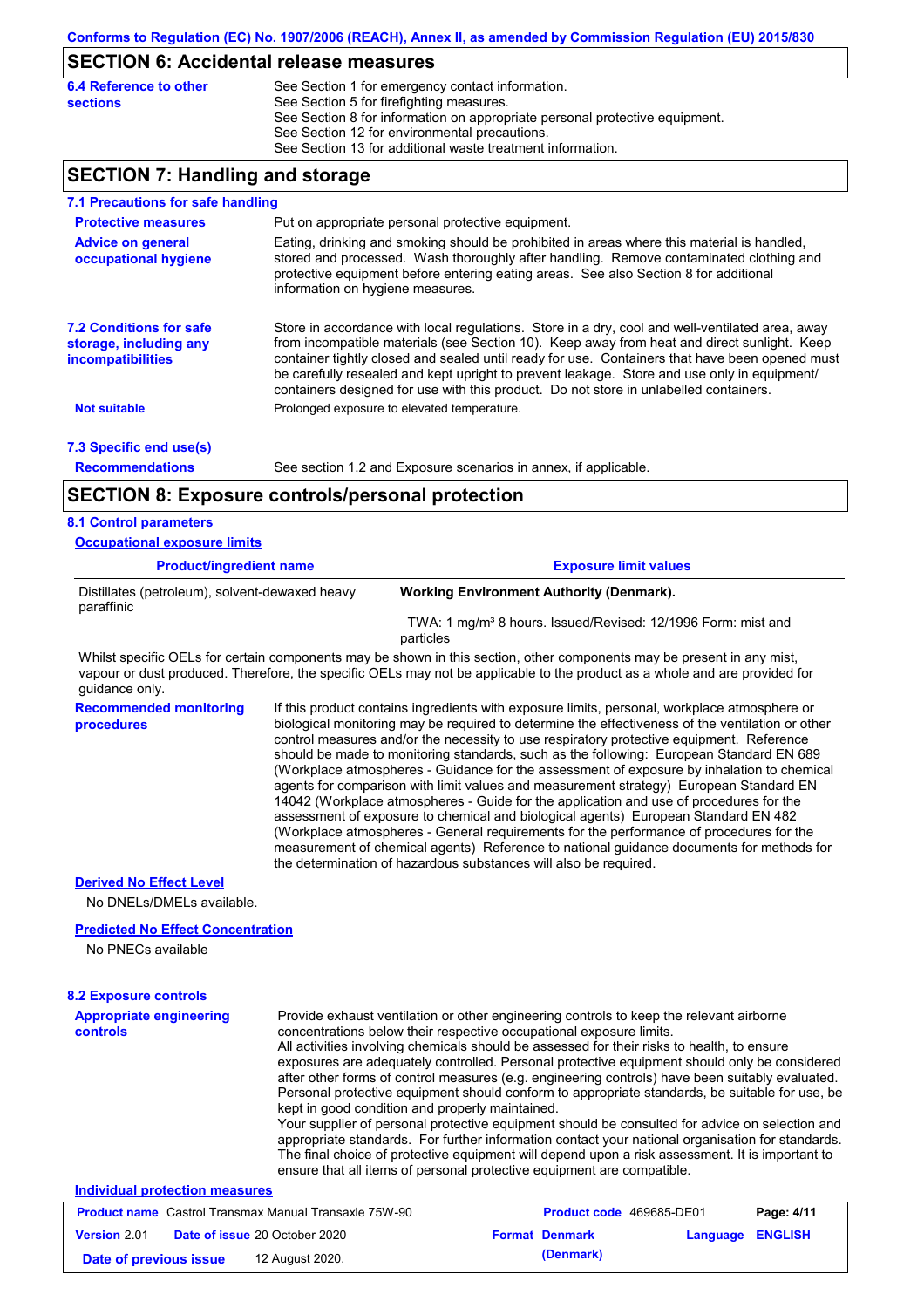# **SECTION 6: Accidental release measures**

| 6.4 Reference to other | See Section 1 for emergency contact information.                            |
|------------------------|-----------------------------------------------------------------------------|
| sections               | See Section 5 for firefighting measures.                                    |
|                        | See Section 8 for information on appropriate personal protective equipment. |
|                        | See Section 12 for environmental precautions.                               |
|                        | See Section 13 for additional waste treatment information.                  |
|                        |                                                                             |

## **SECTION 7: Handling and storage**

| 020 HON 7. Handiniy and storage                                               |                                  |                                                                                                                                                                                                                                                                                                                                                                                                                                                                                                                                                                                                                                                                                                                                                                                                                                                                                                                                                                                                                            |
|-------------------------------------------------------------------------------|----------------------------------|----------------------------------------------------------------------------------------------------------------------------------------------------------------------------------------------------------------------------------------------------------------------------------------------------------------------------------------------------------------------------------------------------------------------------------------------------------------------------------------------------------------------------------------------------------------------------------------------------------------------------------------------------------------------------------------------------------------------------------------------------------------------------------------------------------------------------------------------------------------------------------------------------------------------------------------------------------------------------------------------------------------------------|
| 7.1 Precautions for safe handling                                             |                                  |                                                                                                                                                                                                                                                                                                                                                                                                                                                                                                                                                                                                                                                                                                                                                                                                                                                                                                                                                                                                                            |
| <b>Protective measures</b>                                                    |                                  | Put on appropriate personal protective equipment.                                                                                                                                                                                                                                                                                                                                                                                                                                                                                                                                                                                                                                                                                                                                                                                                                                                                                                                                                                          |
| <b>Advice on general</b><br>occupational hygiene                              | information on hygiene measures. | Eating, drinking and smoking should be prohibited in areas where this material is handled,<br>stored and processed. Wash thoroughly after handling. Remove contaminated clothing and<br>protective equipment before entering eating areas. See also Section 8 for additional                                                                                                                                                                                                                                                                                                                                                                                                                                                                                                                                                                                                                                                                                                                                               |
| <b>7.2 Conditions for safe</b><br>storage, including any<br>incompatibilities |                                  | Store in accordance with local regulations. Store in a dry, cool and well-ventilated area, away<br>from incompatible materials (see Section 10). Keep away from heat and direct sunlight. Keep<br>container tightly closed and sealed until ready for use. Containers that have been opened must<br>be carefully resealed and kept upright to prevent leakage. Store and use only in equipment/<br>containers designed for use with this product. Do not store in unlabelled containers.                                                                                                                                                                                                                                                                                                                                                                                                                                                                                                                                   |
| <b>Not suitable</b>                                                           |                                  | Prolonged exposure to elevated temperature.                                                                                                                                                                                                                                                                                                                                                                                                                                                                                                                                                                                                                                                                                                                                                                                                                                                                                                                                                                                |
|                                                                               |                                  |                                                                                                                                                                                                                                                                                                                                                                                                                                                                                                                                                                                                                                                                                                                                                                                                                                                                                                                                                                                                                            |
| 7.3 Specific end use(s)<br><b>Recommendations</b>                             |                                  | See section 1.2 and Exposure scenarios in annex, if applicable.                                                                                                                                                                                                                                                                                                                                                                                                                                                                                                                                                                                                                                                                                                                                                                                                                                                                                                                                                            |
|                                                                               |                                  |                                                                                                                                                                                                                                                                                                                                                                                                                                                                                                                                                                                                                                                                                                                                                                                                                                                                                                                                                                                                                            |
| <b>SECTION 8: Exposure controls/personal protection</b>                       |                                  |                                                                                                                                                                                                                                                                                                                                                                                                                                                                                                                                                                                                                                                                                                                                                                                                                                                                                                                                                                                                                            |
| <b>8.1 Control parameters</b>                                                 |                                  |                                                                                                                                                                                                                                                                                                                                                                                                                                                                                                                                                                                                                                                                                                                                                                                                                                                                                                                                                                                                                            |
| <b>Occupational exposure limits</b>                                           |                                  |                                                                                                                                                                                                                                                                                                                                                                                                                                                                                                                                                                                                                                                                                                                                                                                                                                                                                                                                                                                                                            |
| <b>Product/ingredient name</b>                                                |                                  | <b>Exposure limit values</b>                                                                                                                                                                                                                                                                                                                                                                                                                                                                                                                                                                                                                                                                                                                                                                                                                                                                                                                                                                                               |
| Distillates (petroleum), solvent-dewaxed heavy<br>paraffinic                  |                                  | <b>Working Environment Authority (Denmark).</b>                                                                                                                                                                                                                                                                                                                                                                                                                                                                                                                                                                                                                                                                                                                                                                                                                                                                                                                                                                            |
|                                                                               |                                  | TWA: 1 mg/m <sup>3</sup> 8 hours. Issued/Revised: 12/1996 Form: mist and<br>particles                                                                                                                                                                                                                                                                                                                                                                                                                                                                                                                                                                                                                                                                                                                                                                                                                                                                                                                                      |
| guidance only.                                                                |                                  | Whilst specific OELs for certain components may be shown in this section, other components may be present in any mist,<br>vapour or dust produced. Therefore, the specific OELs may not be applicable to the product as a whole and are provided for                                                                                                                                                                                                                                                                                                                                                                                                                                                                                                                                                                                                                                                                                                                                                                       |
| <b>Recommended monitoring</b><br>procedures                                   |                                  | If this product contains ingredients with exposure limits, personal, workplace atmosphere or<br>biological monitoring may be required to determine the effectiveness of the ventilation or other<br>control measures and/or the necessity to use respiratory protective equipment. Reference<br>should be made to monitoring standards, such as the following: European Standard EN 689<br>(Workplace atmospheres - Guidance for the assessment of exposure by inhalation to chemical<br>agents for comparison with limit values and measurement strategy) European Standard EN<br>14042 (Workplace atmospheres - Guide for the application and use of procedures for the<br>assessment of exposure to chemical and biological agents) European Standard EN 482<br>(Workplace atmospheres - General requirements for the performance of procedures for the<br>measurement of chemical agents) Reference to national guidance documents for methods for<br>the determination of hazardous substances will also be required. |
| <b>Derived No Effect Level</b>                                                |                                  |                                                                                                                                                                                                                                                                                                                                                                                                                                                                                                                                                                                                                                                                                                                                                                                                                                                                                                                                                                                                                            |

No DNELs/DMELs available.

#### **Predicted No Effect Concentration**

No PNECs available

| <b>8.2 Exposure controls</b>                                 |                                                                                                                                                                                                                                                                                                                                                                                                                                                                                                                                                                                                                                                                                                                                                                                                                                                                                                                                                                                                         |                       |                                 |                |
|--------------------------------------------------------------|---------------------------------------------------------------------------------------------------------------------------------------------------------------------------------------------------------------------------------------------------------------------------------------------------------------------------------------------------------------------------------------------------------------------------------------------------------------------------------------------------------------------------------------------------------------------------------------------------------------------------------------------------------------------------------------------------------------------------------------------------------------------------------------------------------------------------------------------------------------------------------------------------------------------------------------------------------------------------------------------------------|-----------------------|---------------------------------|----------------|
| <b>Appropriate engineering</b><br>controls                   | Provide exhaust ventilation or other engineering controls to keep the relevant airborne<br>concentrations below their respective occupational exposure limits.<br>All activities involving chemicals should be assessed for their risks to health, to ensure<br>exposures are adequately controlled. Personal protective equipment should only be considered<br>after other forms of control measures (e.g. engineering controls) have been suitably evaluated.<br>Personal protective equipment should conform to appropriate standards, be suitable for use, be<br>kept in good condition and properly maintained.<br>Your supplier of personal protective equipment should be consulted for advice on selection and<br>appropriate standards. For further information contact your national organisation for standards.<br>The final choice of protective equipment will depend upon a risk assessment. It is important to<br>ensure that all items of personal protective equipment are compatible. |                       |                                 |                |
| Individual protection measures                               |                                                                                                                                                                                                                                                                                                                                                                                                                                                                                                                                                                                                                                                                                                                                                                                                                                                                                                                                                                                                         |                       |                                 |                |
| <b>Product name</b> Castrol Transmax Manual Transaxle 75W-90 |                                                                                                                                                                                                                                                                                                                                                                                                                                                                                                                                                                                                                                                                                                                                                                                                                                                                                                                                                                                                         |                       | <b>Product code</b> 469685-DE01 | Page: 4/11     |
| <b>Version 2.01</b><br><b>Date of issue 20 October 2020</b>  |                                                                                                                                                                                                                                                                                                                                                                                                                                                                                                                                                                                                                                                                                                                                                                                                                                                                                                                                                                                                         | <b>Format Denmark</b> | Language                        | <b>ENGLISH</b> |

**Date of previous issue 12 August 2020. (Denmark) (Denmark)**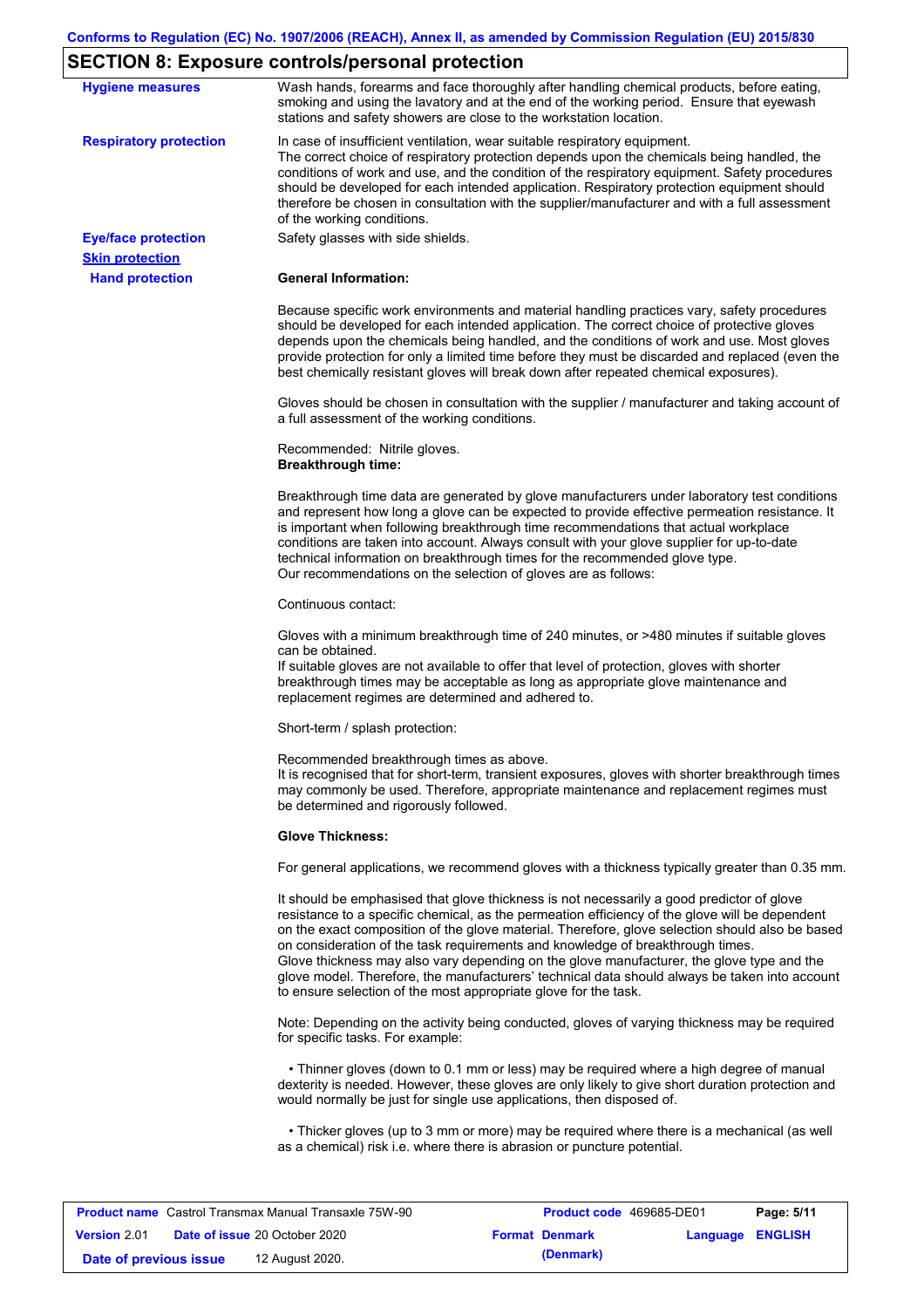## **SECTION 8: Exposure controls/personal protection**

| <b>Hygiene measures</b>                              | Wash hands, forearms and face thoroughly after handling chemical products, before eating,<br>smoking and using the lavatory and at the end of the working period. Ensure that eyewash<br>stations and safety showers are close to the workstation location.                                                                                                                                                                                                                                                                                                                                                                                       |
|------------------------------------------------------|---------------------------------------------------------------------------------------------------------------------------------------------------------------------------------------------------------------------------------------------------------------------------------------------------------------------------------------------------------------------------------------------------------------------------------------------------------------------------------------------------------------------------------------------------------------------------------------------------------------------------------------------------|
| <b>Respiratory protection</b>                        | In case of insufficient ventilation, wear suitable respiratory equipment.<br>The correct choice of respiratory protection depends upon the chemicals being handled, the<br>conditions of work and use, and the condition of the respiratory equipment. Safety procedures<br>should be developed for each intended application. Respiratory protection equipment should<br>therefore be chosen in consultation with the supplier/manufacturer and with a full assessment<br>of the working conditions.                                                                                                                                             |
| <b>Eye/face protection</b><br><b>Skin protection</b> | Safety glasses with side shields.                                                                                                                                                                                                                                                                                                                                                                                                                                                                                                                                                                                                                 |
| <b>Hand protection</b>                               | <b>General Information:</b>                                                                                                                                                                                                                                                                                                                                                                                                                                                                                                                                                                                                                       |
|                                                      | Because specific work environments and material handling practices vary, safety procedures<br>should be developed for each intended application. The correct choice of protective gloves<br>depends upon the chemicals being handled, and the conditions of work and use. Most gloves<br>provide protection for only a limited time before they must be discarded and replaced (even the<br>best chemically resistant gloves will break down after repeated chemical exposures).                                                                                                                                                                  |
|                                                      | Gloves should be chosen in consultation with the supplier / manufacturer and taking account of<br>a full assessment of the working conditions.                                                                                                                                                                                                                                                                                                                                                                                                                                                                                                    |
|                                                      | Recommended: Nitrile gloves.<br><b>Breakthrough time:</b>                                                                                                                                                                                                                                                                                                                                                                                                                                                                                                                                                                                         |
|                                                      | Breakthrough time data are generated by glove manufacturers under laboratory test conditions<br>and represent how long a glove can be expected to provide effective permeation resistance. It<br>is important when following breakthrough time recommendations that actual workplace<br>conditions are taken into account. Always consult with your glove supplier for up-to-date<br>technical information on breakthrough times for the recommended glove type.<br>Our recommendations on the selection of gloves are as follows:                                                                                                                |
|                                                      | Continuous contact:                                                                                                                                                                                                                                                                                                                                                                                                                                                                                                                                                                                                                               |
|                                                      | Gloves with a minimum breakthrough time of 240 minutes, or >480 minutes if suitable gloves<br>can be obtained.<br>If suitable gloves are not available to offer that level of protection, gloves with shorter<br>breakthrough times may be acceptable as long as appropriate glove maintenance and<br>replacement regimes are determined and adhered to.                                                                                                                                                                                                                                                                                          |
|                                                      | Short-term / splash protection:                                                                                                                                                                                                                                                                                                                                                                                                                                                                                                                                                                                                                   |
|                                                      | Recommended breakthrough times as above.<br>It is recognised that for short-term, transient exposures, gloves with shorter breakthrough times<br>may commonly be used. Therefore, appropriate maintenance and replacement regimes must<br>be determined and rigorously followed.                                                                                                                                                                                                                                                                                                                                                                  |
|                                                      | <b>Glove Thickness:</b>                                                                                                                                                                                                                                                                                                                                                                                                                                                                                                                                                                                                                           |
|                                                      | For general applications, we recommend gloves with a thickness typically greater than 0.35 mm.                                                                                                                                                                                                                                                                                                                                                                                                                                                                                                                                                    |
|                                                      | It should be emphasised that glove thickness is not necessarily a good predictor of glove<br>resistance to a specific chemical, as the permeation efficiency of the glove will be dependent<br>on the exact composition of the glove material. Therefore, glove selection should also be based<br>on consideration of the task requirements and knowledge of breakthrough times.<br>Glove thickness may also vary depending on the glove manufacturer, the glove type and the<br>glove model. Therefore, the manufacturers' technical data should always be taken into account<br>to ensure selection of the most appropriate glove for the task. |
|                                                      | Note: Depending on the activity being conducted, gloves of varying thickness may be required<br>for specific tasks. For example:                                                                                                                                                                                                                                                                                                                                                                                                                                                                                                                  |
|                                                      | • Thinner gloves (down to 0.1 mm or less) may be required where a high degree of manual<br>dexterity is needed. However, these gloves are only likely to give short duration protection and<br>would normally be just for single use applications, then disposed of.                                                                                                                                                                                                                                                                                                                                                                              |
|                                                      | • Thicker gloves (up to 3 mm or more) may be required where there is a mechanical (as well<br>as a chemical) risk i.e. where there is abrasion or puncture potential.                                                                                                                                                                                                                                                                                                                                                                                                                                                                             |

| <b>Product name</b> Castrol Transmax Manual Transaxle 75W-90 |  | <b>Product code</b> 469685-DE01      |  | Page: 5/11            |                         |  |
|--------------------------------------------------------------|--|--------------------------------------|--|-----------------------|-------------------------|--|
| <b>Version 2.01</b>                                          |  | <b>Date of issue 20 October 2020</b> |  | <b>Format Denmark</b> | <b>Language ENGLISH</b> |  |
| Date of previous issue                                       |  | 12 August 2020.                      |  | (Denmark)             |                         |  |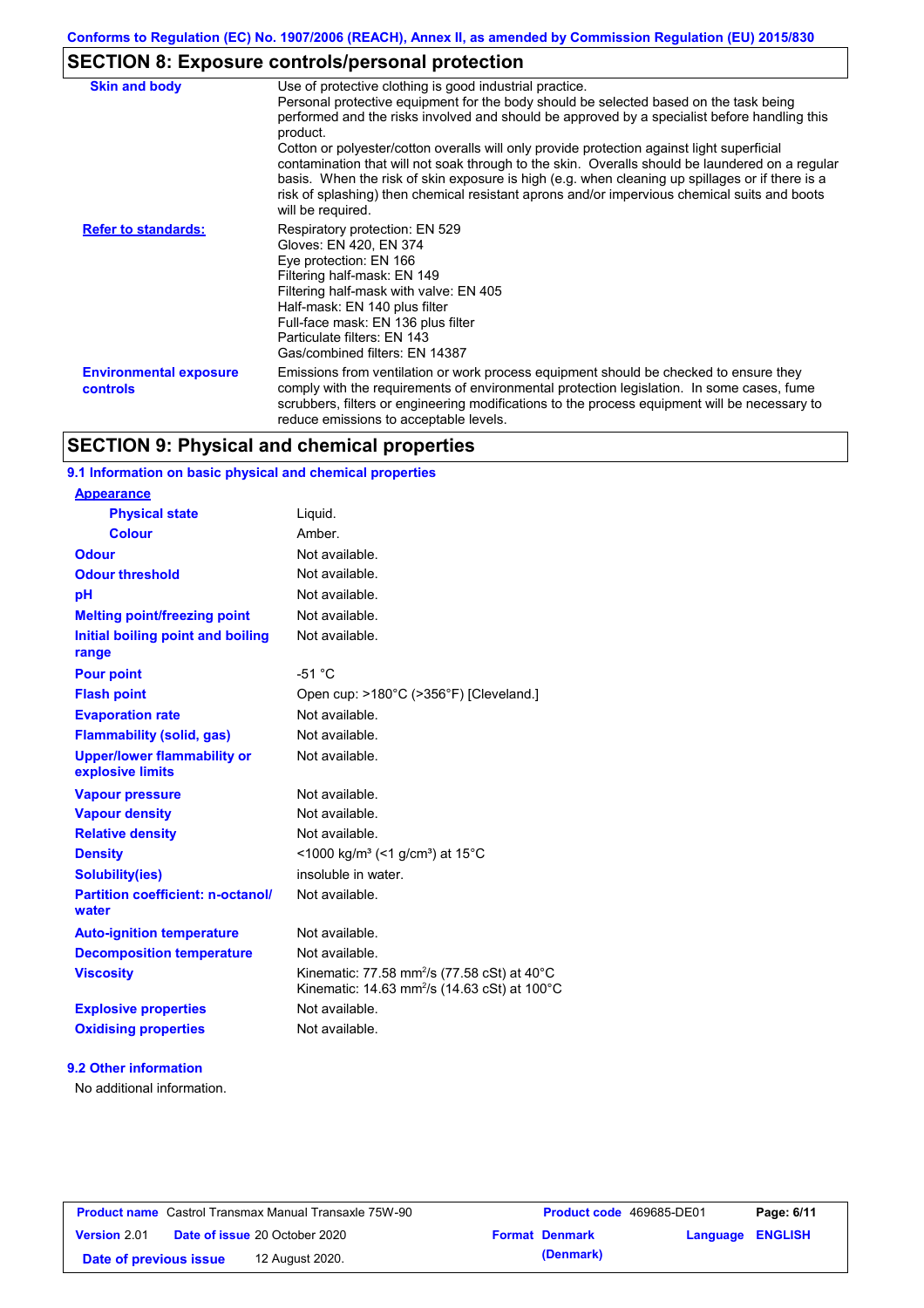## **SECTION 8: Exposure controls/personal protection**

| <b>Skin and body</b>                             | Use of protective clothing is good industrial practice.                                                                                                                                                                                                                                                                                                                                                                                                                                                                                                                                                                    |
|--------------------------------------------------|----------------------------------------------------------------------------------------------------------------------------------------------------------------------------------------------------------------------------------------------------------------------------------------------------------------------------------------------------------------------------------------------------------------------------------------------------------------------------------------------------------------------------------------------------------------------------------------------------------------------------|
|                                                  | Personal protective equipment for the body should be selected based on the task being<br>performed and the risks involved and should be approved by a specialist before handling this<br>product.<br>Cotton or polyester/cotton overalls will only provide protection against light superficial<br>contamination that will not soak through to the skin. Overalls should be laundered on a regular<br>basis. When the risk of skin exposure is high (e.g. when cleaning up spillages or if there is a<br>risk of splashing) then chemical resistant aprons and/or impervious chemical suits and boots<br>will be required. |
| <b>Refer to standards:</b>                       | Respiratory protection: EN 529<br>Gloves: EN 420, EN 374<br>Eye protection: EN 166<br>Filtering half-mask: EN 149<br>Filtering half-mask with valve: EN 405<br>Half-mask: EN 140 plus filter<br>Full-face mask: EN 136 plus filter<br>Particulate filters: EN 143<br>Gas/combined filters: EN 14387                                                                                                                                                                                                                                                                                                                        |
| <b>Environmental exposure</b><br><b>controls</b> | Emissions from ventilation or work process equipment should be checked to ensure they<br>comply with the requirements of environmental protection legislation. In some cases, fume<br>scrubbers, filters or engineering modifications to the process equipment will be necessary to<br>reduce emissions to acceptable levels.                                                                                                                                                                                                                                                                                              |

### **SECTION 9: Physical and chemical properties**

### **9.1 Information on basic physical and chemical properties**

#### **9.2 Other information**

No additional information.

|                        | <b>Product name</b> Castrol Transmax Manual Transaxle 75W-90 | <b>Product code</b> 469685-DE01 |                         | Page: 6/11 |
|------------------------|--------------------------------------------------------------|---------------------------------|-------------------------|------------|
| <b>Version 2.01</b>    | <b>Date of issue 20 October 2020</b>                         | <b>Format Denmark</b>           | <b>Language ENGLISH</b> |            |
| Date of previous issue | 12 August 2020.                                              | (Denmark)                       |                         |            |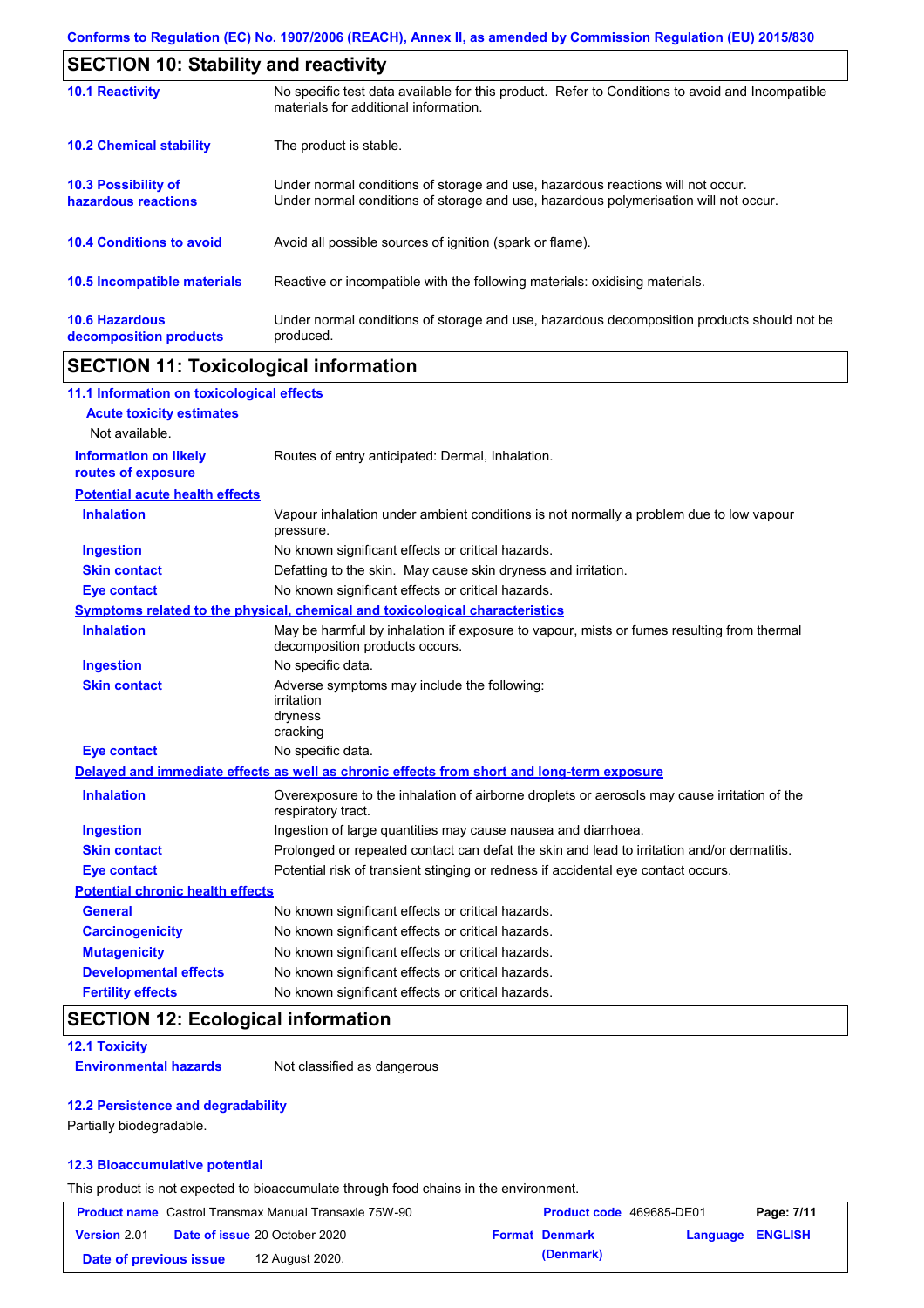| <b>SECTION 10: Stability and reactivity</b>       |                                                                                                                                                                         |  |  |  |
|---------------------------------------------------|-------------------------------------------------------------------------------------------------------------------------------------------------------------------------|--|--|--|
| <b>10.1 Reactivity</b>                            | No specific test data available for this product. Refer to Conditions to avoid and Incompatible<br>materials for additional information.                                |  |  |  |
| <b>10.2 Chemical stability</b>                    | The product is stable.                                                                                                                                                  |  |  |  |
| <b>10.3 Possibility of</b><br>hazardous reactions | Under normal conditions of storage and use, hazardous reactions will not occur.<br>Under normal conditions of storage and use, hazardous polymerisation will not occur. |  |  |  |
| <b>10.4 Conditions to avoid</b>                   | Avoid all possible sources of ignition (spark or flame).                                                                                                                |  |  |  |
| <b>10.5 Incompatible materials</b>                | Reactive or incompatible with the following materials: oxidising materials.                                                                                             |  |  |  |
| <b>10.6 Hazardous</b><br>decomposition products   | Under normal conditions of storage and use, hazardous decomposition products should not be<br>produced.                                                                 |  |  |  |

### **SECTION 11: Toxicological information**

| 11.1 Information on toxicological effects          |                                                                                                                             |
|----------------------------------------------------|-----------------------------------------------------------------------------------------------------------------------------|
| <b>Acute toxicity estimates</b>                    |                                                                                                                             |
| Not available.                                     |                                                                                                                             |
| <b>Information on likely</b><br>routes of exposure | Routes of entry anticipated: Dermal, Inhalation.                                                                            |
| <b>Potential acute health effects</b>              |                                                                                                                             |
| <b>Inhalation</b>                                  | Vapour inhalation under ambient conditions is not normally a problem due to low vapour<br>pressure.                         |
| <b>Ingestion</b>                                   | No known significant effects or critical hazards.                                                                           |
| <b>Skin contact</b>                                | Defatting to the skin. May cause skin dryness and irritation.                                                               |
| <b>Eye contact</b>                                 | No known significant effects or critical hazards.                                                                           |
|                                                    | Symptoms related to the physical, chemical and toxicological characteristics                                                |
| <b>Inhalation</b>                                  | May be harmful by inhalation if exposure to vapour, mists or fumes resulting from thermal<br>decomposition products occurs. |
| <b>Ingestion</b>                                   | No specific data.                                                                                                           |
| <b>Skin contact</b>                                | Adverse symptoms may include the following:<br>irritation<br>dryness<br>cracking                                            |
| <b>Eye contact</b>                                 | No specific data.                                                                                                           |
|                                                    | Delayed and immediate effects as well as chronic effects from short and long-term exposure                                  |
| <b>Inhalation</b>                                  | Overexposure to the inhalation of airborne droplets or aerosols may cause irritation of the<br>respiratory tract.           |
| <b>Ingestion</b>                                   | Ingestion of large quantities may cause nausea and diarrhoea.                                                               |
| <b>Skin contact</b>                                | Prolonged or repeated contact can defat the skin and lead to irritation and/or dermatitis.                                  |
| <b>Eye contact</b>                                 | Potential risk of transient stinging or redness if accidental eye contact occurs.                                           |
| <b>Potential chronic health effects</b>            |                                                                                                                             |
| <b>General</b>                                     | No known significant effects or critical hazards.                                                                           |
| <b>Carcinogenicity</b>                             | No known significant effects or critical hazards.                                                                           |
| <b>Mutagenicity</b>                                | No known significant effects or critical hazards.                                                                           |
| <b>Developmental effects</b>                       | No known significant effects or critical hazards.                                                                           |
| <b>Fertility effects</b>                           | No known significant effects or critical hazards.                                                                           |

## **SECTION 12: Ecological information**

#### **12.1 Toxicity**

**Environmental hazards** Not classified as dangerous

#### **12.2 Persistence and degradability**

Partially biodegradable.

#### **12.3 Bioaccumulative potential**

This product is not expected to bioaccumulate through food chains in the environment.

|                        | <b>Product name</b> Castrol Transmax Manual Transaxle 75W-90 | Product code 469685-DE01 |                         | Page: 7/11 |
|------------------------|--------------------------------------------------------------|--------------------------|-------------------------|------------|
| <b>Version 2.01</b>    | <b>Date of issue 20 October 2020</b>                         | <b>Format Denmark</b>    | <b>Language ENGLISH</b> |            |
| Date of previous issue | 12 August 2020.                                              | (Denmark)                |                         |            |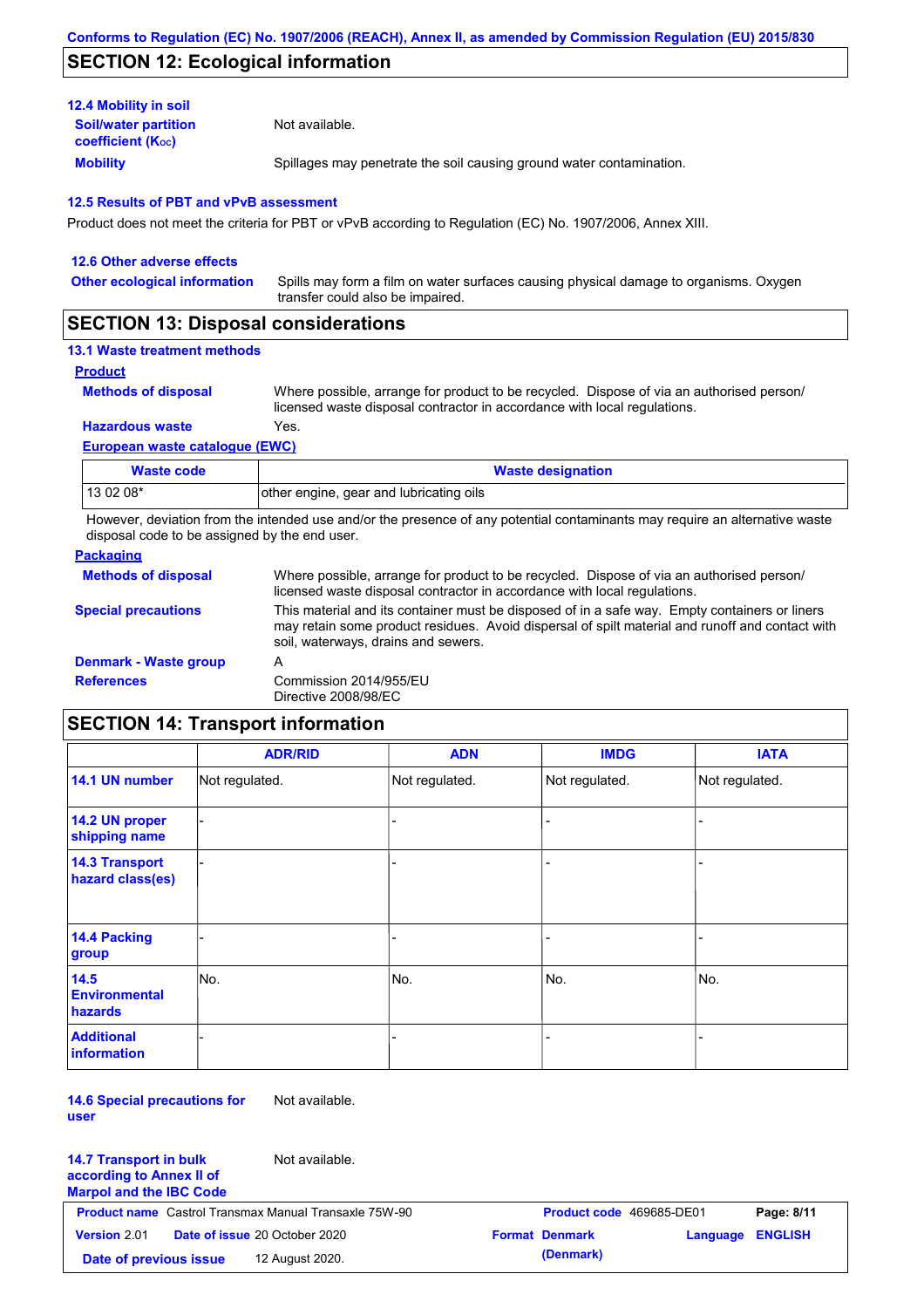### **SECTION 12: Ecological information**

| <b>12.4 Mobility in soil</b>                            |                                                                      |
|---------------------------------------------------------|----------------------------------------------------------------------|
| <b>Soil/water partition</b><br><b>coefficient (Koc)</b> | Not available.                                                       |
| <b>Mobility</b>                                         | Spillages may penetrate the soil causing ground water contamination. |

#### **12.5 Results of PBT and vPvB assessment**

Product does not meet the criteria for PBT or vPvB according to Regulation (EC) No. 1907/2006, Annex XIII.

| 12.6 Other adverse effects          |                                                                                                                           |
|-------------------------------------|---------------------------------------------------------------------------------------------------------------------------|
| <b>Other ecological information</b> | Spills may form a film on water surfaces causing physical damage to organisms. Oxygen<br>transfer could also be impaired. |
|                                     |                                                                                                                           |

### **SECTION 13: Disposal considerations**

### **13.1 Waste treatment methods**

**Product**

**Methods of disposal**

Where possible, arrange for product to be recycled. Dispose of via an authorised person/ licensed waste disposal contractor in accordance with local regulations.

**European waste catalogue (EWC) Hazardous waste** Yes.

| <b>Waste code</b> | <b>Waste designation</b>                |
|-------------------|-----------------------------------------|
| 13 02 08*         | other engine, gear and lubricating oils |

However, deviation from the intended use and/or the presence of any potential contaminants may require an alternative waste disposal code to be assigned by the end user.

#### **Packaging**

| <u>rachaying</u>             |                                                                                                                                                                                                                                         |
|------------------------------|-----------------------------------------------------------------------------------------------------------------------------------------------------------------------------------------------------------------------------------------|
| <b>Methods of disposal</b>   | Where possible, arrange for product to be recycled. Dispose of via an authorised person/<br>licensed waste disposal contractor in accordance with local regulations.                                                                    |
| <b>Special precautions</b>   | This material and its container must be disposed of in a safe way. Empty containers or liners<br>may retain some product residues. Avoid dispersal of spilt material and runoff and contact with<br>soil, waterways, drains and sewers. |
| <b>Denmark - Waste group</b> | A                                                                                                                                                                                                                                       |
| <b>References</b>            | Commission 2014/955/EU<br>Directive 2008/98/EC                                                                                                                                                                                          |

### **SECTION 14: Transport information**

|                                           | <b>ADR/RID</b> | <b>ADN</b>     | <b>IMDG</b>    | <b>IATA</b>    |
|-------------------------------------------|----------------|----------------|----------------|----------------|
| 14.1 UN number                            | Not regulated. | Not regulated. | Not regulated. | Not regulated. |
| 14.2 UN proper<br>shipping name           |                |                |                |                |
| <b>14.3 Transport</b><br>hazard class(es) |                |                |                |                |
| 14.4 Packing<br>group                     |                |                |                |                |
| 14.5<br><b>Environmental</b><br>hazards   | No.            | No.            | No.            | No.            |
| <b>Additional</b><br>information          |                |                |                |                |

**14.6 Special precautions for user**

Not available.

| <b>14.7 Transport in bulk</b><br>according to Annex II of<br><b>Marpol and the IBC Code</b> | Not available.                                               |                          |                         |            |
|---------------------------------------------------------------------------------------------|--------------------------------------------------------------|--------------------------|-------------------------|------------|
|                                                                                             | <b>Product name</b> Castrol Transmax Manual Transaxle 75W-90 | Product code 469685-DE01 |                         | Page: 8/11 |
| <b>Version 2.01</b>                                                                         | <b>Date of issue 20 October 2020</b>                         | <b>Format Denmark</b>    | <b>Language ENGLISH</b> |            |
| Date of previous issue                                                                      | 12 August 2020.                                              | (Denmark)                |                         |            |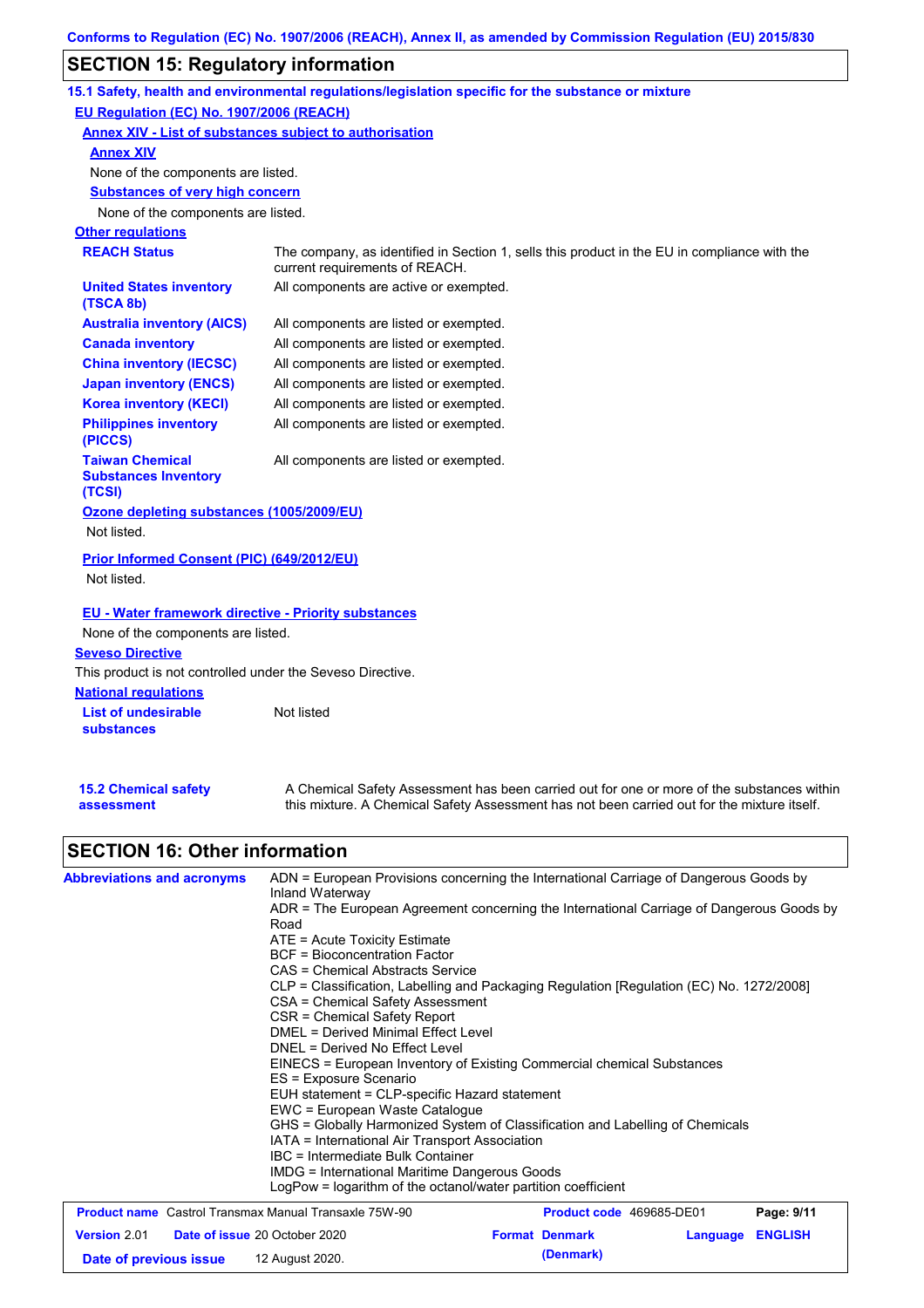## **SECTION 15: Regulatory information**

|                                                                                                                                                       | 15.1 Safety, health and environmental regulations/legislation specific for the substance or mixture                                                                                       |  |  |  |  |  |  |
|-------------------------------------------------------------------------------------------------------------------------------------------------------|-------------------------------------------------------------------------------------------------------------------------------------------------------------------------------------------|--|--|--|--|--|--|
| <b>EU Regulation (EC) No. 1907/2006 (REACH)</b>                                                                                                       |                                                                                                                                                                                           |  |  |  |  |  |  |
| <u> Annex XIV - List of substances subject to authorisation</u>                                                                                       |                                                                                                                                                                                           |  |  |  |  |  |  |
| <u>Annex XIV</u>                                                                                                                                      |                                                                                                                                                                                           |  |  |  |  |  |  |
| None of the components are listed.                                                                                                                    |                                                                                                                                                                                           |  |  |  |  |  |  |
| <b>Substances of very high concern</b>                                                                                                                |                                                                                                                                                                                           |  |  |  |  |  |  |
| None of the components are listed.                                                                                                                    |                                                                                                                                                                                           |  |  |  |  |  |  |
| <b>Other regulations</b>                                                                                                                              |                                                                                                                                                                                           |  |  |  |  |  |  |
| <b>REACH Status</b><br>The company, as identified in Section 1, sells this product in the EU in compliance with the<br>current requirements of REACH. |                                                                                                                                                                                           |  |  |  |  |  |  |
| <b>United States inventory</b><br>(TSCA 8b)                                                                                                           | All components are active or exempted.                                                                                                                                                    |  |  |  |  |  |  |
| <b>Australia inventory (AICS)</b>                                                                                                                     | All components are listed or exempted.                                                                                                                                                    |  |  |  |  |  |  |
| <b>Canada inventory</b>                                                                                                                               | All components are listed or exempted.                                                                                                                                                    |  |  |  |  |  |  |
| <b>China inventory (IECSC)</b>                                                                                                                        | All components are listed or exempted.                                                                                                                                                    |  |  |  |  |  |  |
| <b>Japan inventory (ENCS)</b>                                                                                                                         | All components are listed or exempted.                                                                                                                                                    |  |  |  |  |  |  |
| <b>Korea inventory (KECI)</b>                                                                                                                         | All components are listed or exempted.                                                                                                                                                    |  |  |  |  |  |  |
| <b>Philippines inventory</b><br>(PICCS)                                                                                                               | All components are listed or exempted.                                                                                                                                                    |  |  |  |  |  |  |
| <b>Taiwan Chemical</b><br><b>Substances Inventory</b><br>(TCSI)                                                                                       | All components are listed or exempted.                                                                                                                                                    |  |  |  |  |  |  |
| Ozone depleting substances (1005/2009/EU)<br>Not listed.                                                                                              |                                                                                                                                                                                           |  |  |  |  |  |  |
| <b>Prior Informed Consent (PIC) (649/2012/EU)</b><br>Not listed.                                                                                      |                                                                                                                                                                                           |  |  |  |  |  |  |
| <u>EU - Water framework directive - Priority substances</u><br>None of the components are listed.<br><b>Seveso Directive</b>                          |                                                                                                                                                                                           |  |  |  |  |  |  |
| This product is not controlled under the Seveso Directive.                                                                                            |                                                                                                                                                                                           |  |  |  |  |  |  |
| <b>National regulations</b>                                                                                                                           |                                                                                                                                                                                           |  |  |  |  |  |  |
| <b>List of undesirable</b><br>substances                                                                                                              | Not listed                                                                                                                                                                                |  |  |  |  |  |  |
| <b>15.2 Chemical safety</b><br>assessment                                                                                                             | A Chemical Safety Assessment has been carried out for one or more of the substances within<br>this mixture. A Chemical Safety Assessment has not been carried out for the mixture itself. |  |  |  |  |  |  |

# **SECTION 16: Other information**

| <b>Abbreviations and acronyms</b>                            | ADN = European Provisions concerning the International Carriage of Dangerous Goods by<br>Inland Waterway<br>ADR = The European Agreement concerning the International Carriage of Dangerous Goods by<br>Road<br>ATE = Acute Toxicity Estimate<br><b>BCF</b> = Bioconcentration Factor<br>CAS = Chemical Abstracts Service<br>CLP = Classification, Labelling and Packaging Regulation [Regulation (EC) No. 1272/2008]<br>CSA = Chemical Safety Assessment<br>CSR = Chemical Safety Report<br>DMEL = Derived Minimal Effect Level<br>DNEL = Derived No Effect Level<br>EINECS = European Inventory of Existing Commercial chemical Substances<br>ES = Exposure Scenario<br>EUH statement = CLP-specific Hazard statement<br>EWC = European Waste Catalogue<br>GHS = Globally Harmonized System of Classification and Labelling of Chemicals<br>IATA = International Air Transport Association<br>IBC = Intermediate Bulk Container<br>IMDG = International Maritime Dangerous Goods<br>LogPow = logarithm of the octanol/water partition coefficient |                          |                         |            |
|--------------------------------------------------------------|-----------------------------------------------------------------------------------------------------------------------------------------------------------------------------------------------------------------------------------------------------------------------------------------------------------------------------------------------------------------------------------------------------------------------------------------------------------------------------------------------------------------------------------------------------------------------------------------------------------------------------------------------------------------------------------------------------------------------------------------------------------------------------------------------------------------------------------------------------------------------------------------------------------------------------------------------------------------------------------------------------------------------------------------------------|--------------------------|-------------------------|------------|
| <b>Product name</b> Castrol Transmax Manual Transaxle 75W-90 |                                                                                                                                                                                                                                                                                                                                                                                                                                                                                                                                                                                                                                                                                                                                                                                                                                                                                                                                                                                                                                                     | Product code 469685-DE01 |                         | Page: 9/11 |
| <b>Version 2.01</b><br>Date of issue 20 October 2020         |                                                                                                                                                                                                                                                                                                                                                                                                                                                                                                                                                                                                                                                                                                                                                                                                                                                                                                                                                                                                                                                     | <b>Format Denmark</b>    | <b>Language ENGLISH</b> |            |

**Date of previous issue (Denmark)** 12 August 2020.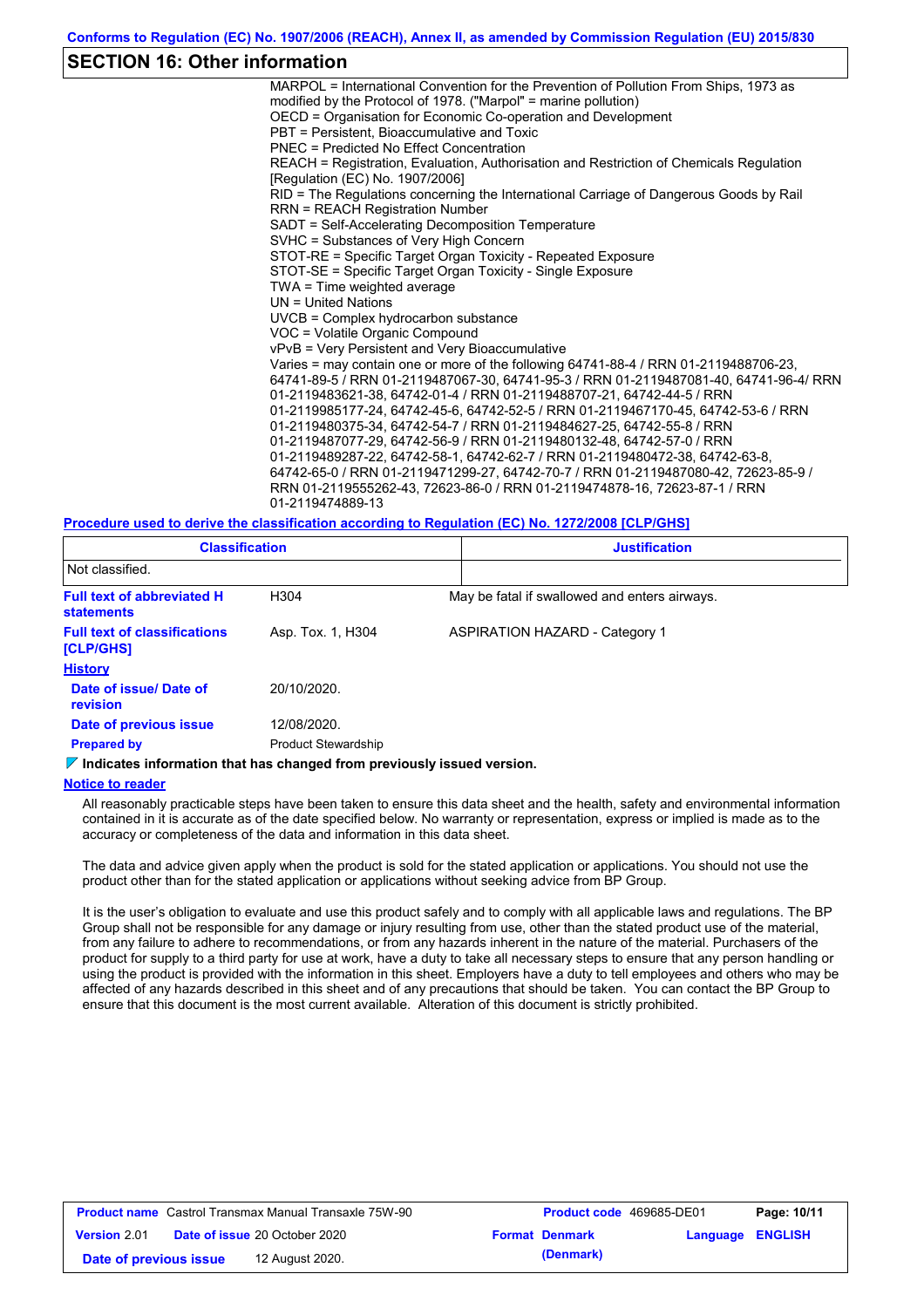### **SECTION 16: Other information**

MARPOL = International Convention for the Prevention of Pollution From Ships, 1973 as modified by the Protocol of 1978. ("Marpol" = marine pollution) OECD = Organisation for Economic Co-operation and Development PBT = Persistent, Bioaccumulative and Toxic PNEC = Predicted No Effect Concentration REACH = Registration, Evaluation, Authorisation and Restriction of Chemicals Regulation [Regulation (EC) No. 1907/2006] RID = The Regulations concerning the International Carriage of Dangerous Goods by Rail RRN = REACH Registration Number SADT = Self-Accelerating Decomposition Temperature SVHC = Substances of Very High Concern STOT-RE = Specific Target Organ Toxicity - Repeated Exposure STOT-SE = Specific Target Organ Toxicity - Single Exposure TWA = Time weighted average UN = United Nations UVCB = Complex hydrocarbon substance VOC = Volatile Organic Compound vPvB = Very Persistent and Very Bioaccumulative Varies = may contain one or more of the following 64741-88-4 / RRN 01-2119488706-23, 64741-89-5 / RRN 01-2119487067-30, 64741-95-3 / RRN 01-2119487081-40, 64741-96-4/ RRN 01-2119483621-38, 64742-01-4 / RRN 01-2119488707-21, 64742-44-5 / RRN 01-2119985177-24, 64742-45-6, 64742-52-5 / RRN 01-2119467170-45, 64742-53-6 / RRN 01-2119480375-34, 64742-54-7 / RRN 01-2119484627-25, 64742-55-8 / RRN 01-2119487077-29, 64742-56-9 / RRN 01-2119480132-48, 64742-57-0 / RRN 01-2119489287-22, 64742-58-1, 64742-62-7 / RRN 01-2119480472-38, 64742-63-8, 64742-65-0 / RRN 01-2119471299-27, 64742-70-7 / RRN 01-2119487080-42, 72623-85-9 / RRN 01-2119555262-43, 72623-86-0 / RRN 01-2119474878-16, 72623-87-1 / RRN 01-2119474889-13

**Procedure used to derive the classification according to Regulation (EC) No. 1272/2008 [CLP/GHS]**

| <b>Classification</b>                                                           |                            | <b>Justification</b> |                                               |  |  |  |
|---------------------------------------------------------------------------------|----------------------------|----------------------|-----------------------------------------------|--|--|--|
| Not classified.                                                                 |                            |                      |                                               |  |  |  |
| <b>Full text of abbreviated H</b><br><b>statements</b>                          | H <sub>304</sub>           |                      | May be fatal if swallowed and enters airways. |  |  |  |
| <b>Full text of classifications</b><br>[CLP/GHS]                                | Asp. Tox. 1, H304          |                      | <b>ASPIRATION HAZARD - Category 1</b>         |  |  |  |
| <b>History</b>                                                                  |                            |                      |                                               |  |  |  |
| Date of issue/Date of<br>revision                                               | 20/10/2020.                |                      |                                               |  |  |  |
| Date of previous issue                                                          | 12/08/2020.                |                      |                                               |  |  |  |
| <b>Prepared by</b>                                                              | <b>Product Stewardship</b> |                      |                                               |  |  |  |
| $\nabla$ Indicates information that has changed from previously issued version. |                            |                      |                                               |  |  |  |

#### **Notice to reader**

All reasonably practicable steps have been taken to ensure this data sheet and the health, safety and environmental information contained in it is accurate as of the date specified below. No warranty or representation, express or implied is made as to the accuracy or completeness of the data and information in this data sheet.

The data and advice given apply when the product is sold for the stated application or applications. You should not use the product other than for the stated application or applications without seeking advice from BP Group.

It is the user's obligation to evaluate and use this product safely and to comply with all applicable laws and regulations. The BP Group shall not be responsible for any damage or injury resulting from use, other than the stated product use of the material, from any failure to adhere to recommendations, or from any hazards inherent in the nature of the material. Purchasers of the product for supply to a third party for use at work, have a duty to take all necessary steps to ensure that any person handling or using the product is provided with the information in this sheet. Employers have a duty to tell employees and others who may be affected of any hazards described in this sheet and of any precautions that should be taken. You can contact the BP Group to ensure that this document is the most current available. Alteration of this document is strictly prohibited.

| <b>Product name</b> Castrol Transmax Manual Transaxle 75W-90 |  | <b>Product code</b> 469685-DE01      |  | Page: 10/11           |                         |  |
|--------------------------------------------------------------|--|--------------------------------------|--|-----------------------|-------------------------|--|
| <b>Version 2.01</b>                                          |  | <b>Date of issue 20 October 2020</b> |  | <b>Format Denmark</b> | <b>Language ENGLISH</b> |  |
| Date of previous issue                                       |  | 12 August 2020.                      |  | (Denmark)             |                         |  |